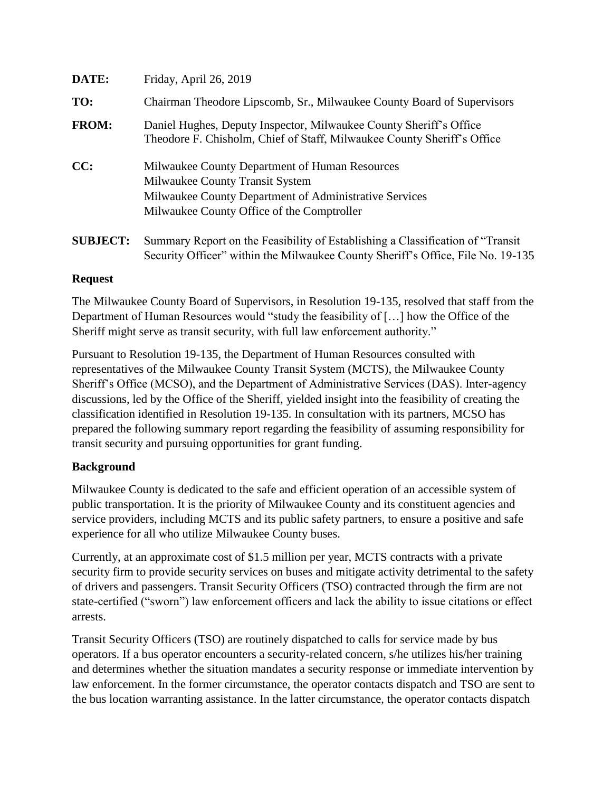| DATE:           | Friday, April 26, 2019                                                                                                                                                                    |  |  |  |  |
|-----------------|-------------------------------------------------------------------------------------------------------------------------------------------------------------------------------------------|--|--|--|--|
| TO:             | Chairman Theodore Lipscomb, Sr., Milwaukee County Board of Supervisors                                                                                                                    |  |  |  |  |
| <b>FROM:</b>    | Daniel Hughes, Deputy Inspector, Milwaukee County Sheriff's Office<br>Theodore F. Chisholm, Chief of Staff, Milwaukee County Sheriff's Office                                             |  |  |  |  |
| CC:             | Milwaukee County Department of Human Resources<br>Milwaukee County Transit System<br>Milwaukee County Department of Administrative Services<br>Milwaukee County Office of the Comptroller |  |  |  |  |
| <b>SUBJECT:</b> | Summary Report on the Feasibility of Establishing a Classification of "Transit"<br>Security Officer" within the Milwaukee County Sheriff's Office, File No. 19-135                        |  |  |  |  |

## **Request**

The Milwaukee County Board of Supervisors, in Resolution 19-135, resolved that staff from the Department of Human Resources would "study the feasibility of […] how the Office of the Sheriff might serve as transit security, with full law enforcement authority."

Pursuant to Resolution 19-135, the Department of Human Resources consulted with representatives of the Milwaukee County Transit System (MCTS), the Milwaukee County Sheriff's Office (MCSO), and the Department of Administrative Services (DAS). Inter-agency discussions, led by the Office of the Sheriff, yielded insight into the feasibility of creating the classification identified in Resolution 19-135. In consultation with its partners, MCSO has prepared the following summary report regarding the feasibility of assuming responsibility for transit security and pursuing opportunities for grant funding.

# **Background**

Milwaukee County is dedicated to the safe and efficient operation of an accessible system of public transportation. It is the priority of Milwaukee County and its constituent agencies and service providers, including MCTS and its public safety partners, to ensure a positive and safe experience for all who utilize Milwaukee County buses.

Currently, at an approximate cost of \$1.5 million per year, MCTS contracts with a private security firm to provide security services on buses and mitigate activity detrimental to the safety of drivers and passengers. Transit Security Officers (TSO) contracted through the firm are not state-certified ("sworn") law enforcement officers and lack the ability to issue citations or effect arrests.

Transit Security Officers (TSO) are routinely dispatched to calls for service made by bus operators. If a bus operator encounters a security-related concern, s/he utilizes his/her training and determines whether the situation mandates a security response or immediate intervention by law enforcement. In the former circumstance, the operator contacts dispatch and TSO are sent to the bus location warranting assistance. In the latter circumstance, the operator contacts dispatch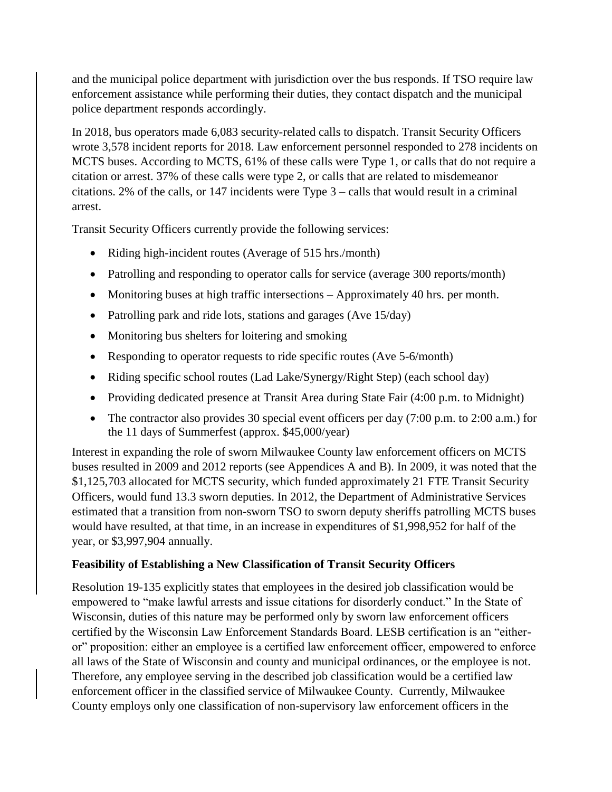and the municipal police department with jurisdiction over the bus responds. If TSO require law enforcement assistance while performing their duties, they contact dispatch and the municipal police department responds accordingly.

In 2018, bus operators made 6,083 security-related calls to dispatch. Transit Security Officers wrote 3,578 incident reports for 2018. Law enforcement personnel responded to 278 incidents on MCTS buses. According to MCTS, 61% of these calls were Type 1, or calls that do not require a citation or arrest. 37% of these calls were type 2, or calls that are related to misdemeanor citations. 2% of the calls, or 147 incidents were Type 3 – calls that would result in a criminal arrest.

Transit Security Officers currently provide the following services:

- Riding high-incident routes (Average of 515 hrs./month)
- Patrolling and responding to operator calls for service (average 300 reports/month)
- Monitoring buses at high traffic intersections Approximately 40 hrs. per month.
- Patrolling park and ride lots, stations and garages (Ave 15/day)
- Monitoring bus shelters for loitering and smoking
- Responding to operator requests to ride specific routes (Ave 5-6/month)
- Riding specific school routes (Lad Lake/Synergy/Right Step) (each school day)
- Providing dedicated presence at Transit Area during State Fair (4:00 p.m. to Midnight)
- The contractor also provides 30 special event officers per day (7:00 p.m. to 2:00 a.m.) for the 11 days of Summerfest (approx. \$45,000/year)

Interest in expanding the role of sworn Milwaukee County law enforcement officers on MCTS buses resulted in 2009 and 2012 reports (see Appendices A and B). In 2009, it was noted that the \$1,125,703 allocated for MCTS security, which funded approximately 21 FTE Transit Security Officers, would fund 13.3 sworn deputies. In 2012, the Department of Administrative Services estimated that a transition from non-sworn TSO to sworn deputy sheriffs patrolling MCTS buses would have resulted, at that time, in an increase in expenditures of \$1,998,952 for half of the year, or \$3,997,904 annually.

### **Feasibility of Establishing a New Classification of Transit Security Officers**

Resolution 19-135 explicitly states that employees in the desired job classification would be empowered to "make lawful arrests and issue citations for disorderly conduct." In the State of Wisconsin, duties of this nature may be performed only by sworn law enforcement officers certified by the Wisconsin Law Enforcement Standards Board. LESB certification is an "eitheror" proposition: either an employee is a certified law enforcement officer, empowered to enforce all laws of the State of Wisconsin and county and municipal ordinances, or the employee is not. Therefore, any employee serving in the described job classification would be a certified law enforcement officer in the classified service of Milwaukee County. Currently, Milwaukee County employs only one classification of non-supervisory law enforcement officers in the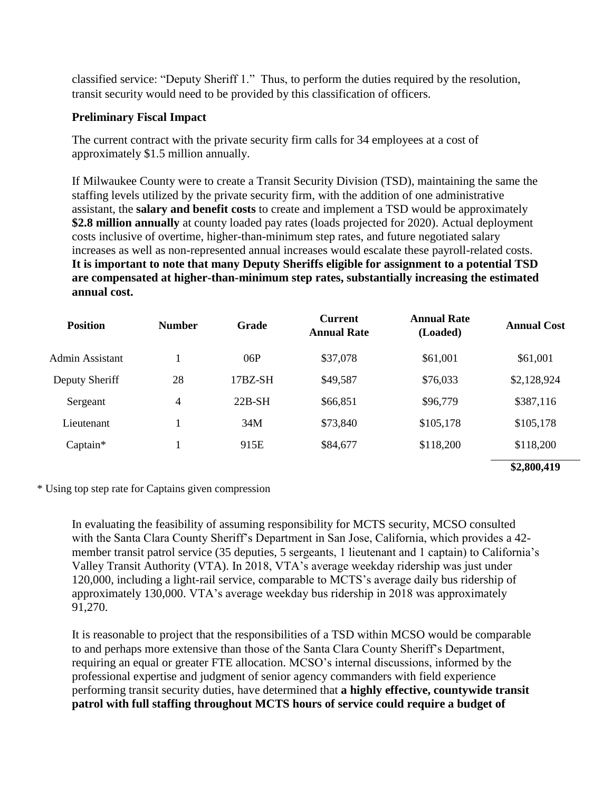classified service: "Deputy Sheriff 1." Thus, to perform the duties required by the resolution, transit security would need to be provided by this classification of officers.

#### **Preliminary Fiscal Impact**

The current contract with the private security firm calls for 34 employees at a cost of approximately \$1.5 million annually.

If Milwaukee County were to create a Transit Security Division (TSD), maintaining the same the staffing levels utilized by the private security firm, with the addition of one administrative assistant, the **salary and benefit costs** to create and implement a TSD would be approximately **\$2.8 million annually** at county loaded pay rates (loads projected for 2020). Actual deployment costs inclusive of overtime, higher-than-minimum step rates, and future negotiated salary increases as well as non-represented annual increases would escalate these payroll-related costs. **It is important to note that many Deputy Sheriffs eligible for assignment to a potential TSD are compensated at higher-than-minimum step rates, substantially increasing the estimated annual cost.**

| <b>Position</b> | <b>Number</b> | Grade     | <b>Current</b><br><b>Annual Rate</b> | <b>Annual Rate</b><br>(Loaded) | <b>Annual Cost</b> |
|-----------------|---------------|-----------|--------------------------------------|--------------------------------|--------------------|
| Admin Assistant |               | 06P       | \$37,078                             | \$61,001                       | \$61,001           |
| Deputy Sheriff  | 28            | $17BZ-SH$ | \$49,587                             | \$76,033                       | \$2,128,924        |
| Sergeant        | 4             | $22B-SH$  | \$66,851                             | \$96,779                       | \$387,116          |
| Lieutenant      | 1             | 34M       | \$73,840                             | \$105,178                      | \$105,178          |
| Captain*        |               | 915E      | \$84,677                             | \$118,200                      | \$118,200          |
|                 |               |           |                                      |                                | \$2,800,419        |

\* Using top step rate for Captains given compression

In evaluating the feasibility of assuming responsibility for MCTS security, MCSO consulted with the Santa Clara County Sheriff's Department in San Jose, California, which provides a 42 member transit patrol service (35 deputies, 5 sergeants, 1 lieutenant and 1 captain) to California's Valley Transit Authority (VTA). In 2018, VTA's average weekday ridership was just under 120,000, including a light-rail service, comparable to MCTS's average daily bus ridership of approximately 130,000. VTA's average weekday bus ridership in 2018 was approximately 91,270.

It is reasonable to project that the responsibilities of a TSD within MCSO would be comparable to and perhaps more extensive than those of the Santa Clara County Sheriff's Department, requiring an equal or greater FTE allocation. MCSO's internal discussions, informed by the professional expertise and judgment of senior agency commanders with field experience performing transit security duties, have determined that **a highly effective, countywide transit patrol with full staffing throughout MCTS hours of service could require a budget of**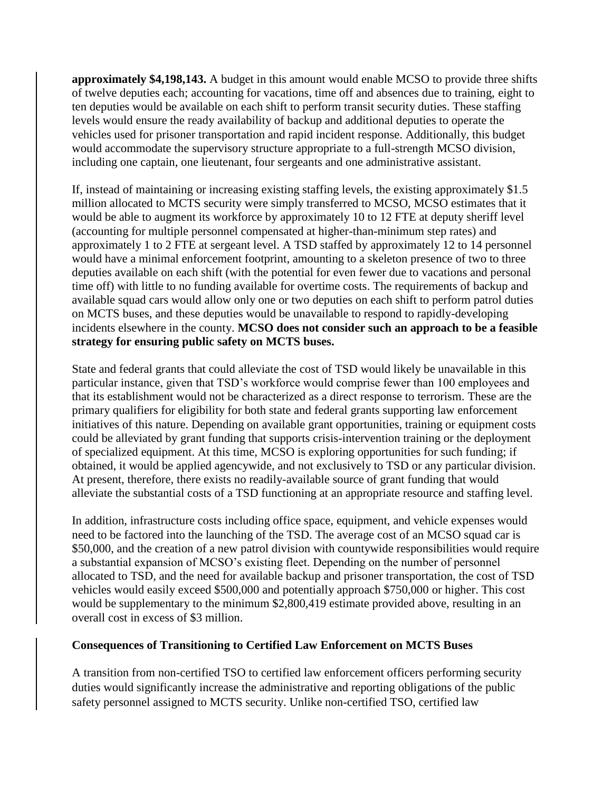**approximately \$4,198,143.** A budget in this amount would enable MCSO to provide three shifts of twelve deputies each; accounting for vacations, time off and absences due to training, eight to ten deputies would be available on each shift to perform transit security duties. These staffing levels would ensure the ready availability of backup and additional deputies to operate the vehicles used for prisoner transportation and rapid incident response. Additionally, this budget would accommodate the supervisory structure appropriate to a full-strength MCSO division, including one captain, one lieutenant, four sergeants and one administrative assistant.

If, instead of maintaining or increasing existing staffing levels, the existing approximately \$1.5 million allocated to MCTS security were simply transferred to MCSO, MCSO estimates that it would be able to augment its workforce by approximately 10 to 12 FTE at deputy sheriff level (accounting for multiple personnel compensated at higher-than-minimum step rates) and approximately 1 to 2 FTE at sergeant level. A TSD staffed by approximately 12 to 14 personnel would have a minimal enforcement footprint, amounting to a skeleton presence of two to three deputies available on each shift (with the potential for even fewer due to vacations and personal time off) with little to no funding available for overtime costs. The requirements of backup and available squad cars would allow only one or two deputies on each shift to perform patrol duties on MCTS buses, and these deputies would be unavailable to respond to rapidly-developing incidents elsewhere in the county. **MCSO does not consider such an approach to be a feasible strategy for ensuring public safety on MCTS buses.**

State and federal grants that could alleviate the cost of TSD would likely be unavailable in this particular instance, given that TSD's workforce would comprise fewer than 100 employees and that its establishment would not be characterized as a direct response to terrorism. These are the primary qualifiers for eligibility for both state and federal grants supporting law enforcement initiatives of this nature. Depending on available grant opportunities, training or equipment costs could be alleviated by grant funding that supports crisis-intervention training or the deployment of specialized equipment. At this time, MCSO is exploring opportunities for such funding; if obtained, it would be applied agencywide, and not exclusively to TSD or any particular division. At present, therefore, there exists no readily-available source of grant funding that would alleviate the substantial costs of a TSD functioning at an appropriate resource and staffing level.

In addition, infrastructure costs including office space, equipment, and vehicle expenses would need to be factored into the launching of the TSD. The average cost of an MCSO squad car is \$50,000, and the creation of a new patrol division with countywide responsibilities would require a substantial expansion of MCSO's existing fleet. Depending on the number of personnel allocated to TSD, and the need for available backup and prisoner transportation, the cost of TSD vehicles would easily exceed \$500,000 and potentially approach \$750,000 or higher. This cost would be supplementary to the minimum \$2,800,419 estimate provided above, resulting in an overall cost in excess of \$3 million.

#### **Consequences of Transitioning to Certified Law Enforcement on MCTS Buses**

A transition from non-certified TSO to certified law enforcement officers performing security duties would significantly increase the administrative and reporting obligations of the public safety personnel assigned to MCTS security. Unlike non-certified TSO, certified law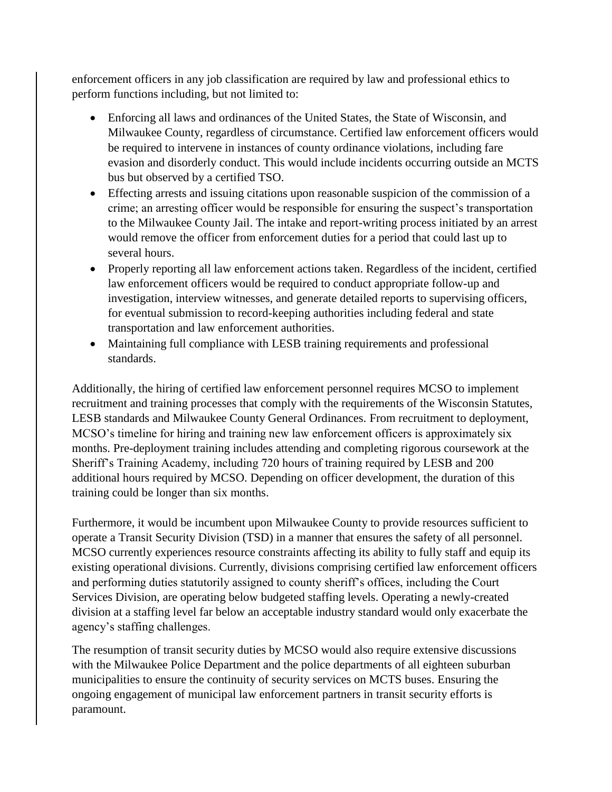enforcement officers in any job classification are required by law and professional ethics to perform functions including, but not limited to:

- Enforcing all laws and ordinances of the United States, the State of Wisconsin, and Milwaukee County, regardless of circumstance. Certified law enforcement officers would be required to intervene in instances of county ordinance violations, including fare evasion and disorderly conduct. This would include incidents occurring outside an MCTS bus but observed by a certified TSO.
- Effecting arrests and issuing citations upon reasonable suspicion of the commission of a crime; an arresting officer would be responsible for ensuring the suspect's transportation to the Milwaukee County Jail. The intake and report-writing process initiated by an arrest would remove the officer from enforcement duties for a period that could last up to several hours.
- Properly reporting all law enforcement actions taken. Regardless of the incident, certified law enforcement officers would be required to conduct appropriate follow-up and investigation, interview witnesses, and generate detailed reports to supervising officers, for eventual submission to record-keeping authorities including federal and state transportation and law enforcement authorities.
- Maintaining full compliance with LESB training requirements and professional standards.

Additionally, the hiring of certified law enforcement personnel requires MCSO to implement recruitment and training processes that comply with the requirements of the Wisconsin Statutes, LESB standards and Milwaukee County General Ordinances. From recruitment to deployment, MCSO's timeline for hiring and training new law enforcement officers is approximately six months. Pre-deployment training includes attending and completing rigorous coursework at the Sheriff's Training Academy, including 720 hours of training required by LESB and 200 additional hours required by MCSO. Depending on officer development, the duration of this training could be longer than six months.

Furthermore, it would be incumbent upon Milwaukee County to provide resources sufficient to operate a Transit Security Division (TSD) in a manner that ensures the safety of all personnel. MCSO currently experiences resource constraints affecting its ability to fully staff and equip its existing operational divisions. Currently, divisions comprising certified law enforcement officers and performing duties statutorily assigned to county sheriff's offices, including the Court Services Division, are operating below budgeted staffing levels. Operating a newly-created division at a staffing level far below an acceptable industry standard would only exacerbate the agency's staffing challenges.

The resumption of transit security duties by MCSO would also require extensive discussions with the Milwaukee Police Department and the police departments of all eighteen suburban municipalities to ensure the continuity of security services on MCTS buses. Ensuring the ongoing engagement of municipal law enforcement partners in transit security efforts is paramount.